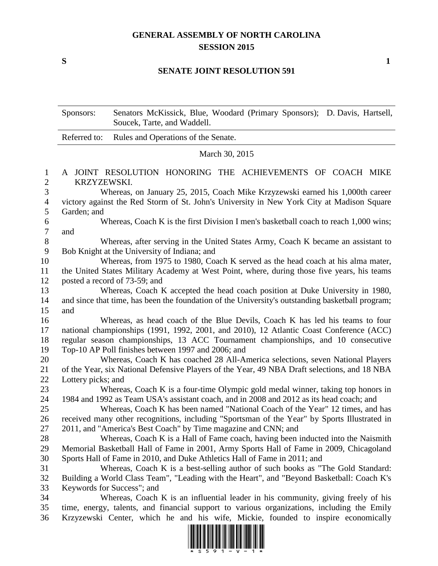# **GENERAL ASSEMBLY OF NORTH CAROLINA SESSION 2015**

**S 1**

#### **SENATE JOINT RESOLUTION 591**

Sponsors: Senators McKissick, Blue, Woodard (Primary Sponsors); D. Davis, Hartsell, Soucek, Tarte, and Waddell.

| Referred to: Rules and Operations of the Senate. |
|--------------------------------------------------|
|                                                  |

### March 30, 2015

# A JOINT RESOLUTION HONORING THE ACHIEVEMENTS OF COACH MIKE KRZYZEWSKI. Whereas, on January 25, 2015, Coach Mike Krzyzewski earned his 1,000th career victory against the Red Storm of St. John's University in New York City at Madison Square Garden; and Whereas, Coach K is the first Division I men's basketball coach to reach 1,000 wins; and Whereas, after serving in the United States Army, Coach K became an assistant to Bob Knight at the University of Indiana; and Whereas, from 1975 to 1980, Coach K served as the head coach at his alma mater, the United States Military Academy at West Point, where, during those five years, his teams posted a record of 73-59; and Whereas, Coach K accepted the head coach position at Duke University in 1980, and since that time, has been the foundation of the University's outstanding basketball program; and Whereas, as head coach of the Blue Devils, Coach K has led his teams to four national championships (1991, 1992, 2001, and 2010), 12 Atlantic Coast Conference (ACC) regular season championships, 13 ACC Tournament championships, and 10 consecutive Top-10 AP Poll finishes between 1997 and 2006; and Whereas, Coach K has coached 28 All-America selections, seven National Players of the Year, six National Defensive Players of the Year, 49 NBA Draft selections, and 18 NBA Lottery picks; and 23 Whereas, Coach K is a four-time Olympic gold medal winner, taking top honors in 1984 and 1992 as Team USA's assistant coach, and in 2008 and 2012 as its head coach; and Whereas, Coach K has been named "National Coach of the Year" 12 times, and has received many other recognitions, including "Sportsman of the Year" by Sports Illustrated in 2011, and "America's Best Coach" by Time magazine and CNN; and 28 Whereas, Coach K is a Hall of Fame coach, having been inducted into the Naismith Memorial Basketball Hall of Fame in 2001, Army Sports Hall of Fame in 2009, Chicagoland Sports Hall of Fame in 2010, and Duke Athletics Hall of Fame in 2011; and Whereas, Coach K is a best-selling author of such books as "The Gold Standard: Building a World Class Team", "Leading with the Heart", and "Beyond Basketball: Coach K's Keywords for Success"; and Whereas, Coach K is an influential leader in his community, giving freely of his time, energy, talents, and financial support to various organizations, including the Emily Krzyzewski Center, which he and his wife, Mickie, founded to inspire economically